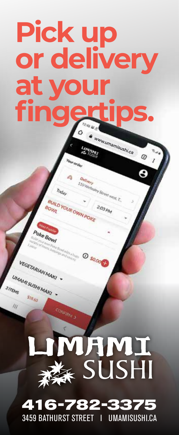# **Pick up or delivery at yo fing**

ww.umamisushi.ca

**Stationery**<br>I TO Vietlastey Street west T.

O so.oog

ILD YOUR OWN POKE

Constant 3

Own

VEGETARIAN MAKI

UMAMI SUSHI MAKI

 $s_{16_{67}}$ 

TEMS

lli

0

# **THMI** E SUSHI

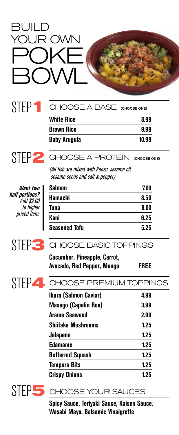## BUILD YOUR OWN POKE  $\sum_{i=1}^{n}$

### STEP**1**

**White Rice 8.99 Brown Rice 9.99** CHOOSE A BASE(CHOOSE ONE)

**Baby Arugula 10.99**



|  | STEP 2 CHOOSE A PROTEIN (CHOOSE ONE) |  |
|--|--------------------------------------|--|
|  |                                      |  |

(All fish are mixed with Ponzu, sesame oil, sesame seeds and salt & pepper)

**Want two half portions?** Add \$2.00 to higher priced item.



| Salmon               | 7.00 |
|----------------------|------|
| Hamachi              | 8.50 |
| Tuna                 | 8.00 |
| Kani                 | 6.25 |
| <b>Seasoned Tofu</b> | 5.25 |



| Cucumber, Pineapple, Carrot, |             |
|------------------------------|-------------|
| Avocado, Red Pepper, Mango   | <b>FREE</b> |



| CHOOSE PREMILIM TOPPINGS |  |  |
|--------------------------|--|--|

| 4.99 |
|------|
| 3.99 |
| 2.99 |
| 1.25 |
| 1.25 |
| 1.25 |
| 1.25 |
| 1.25 |
| 1.25 |
|      |



STEP**5** CHOOSE YOUR SAUCES

**Spicy Sauce, Teriyaki Sauce, Kaisen Sauce, Wasabi Mayo, Balsamic Vinaigrette**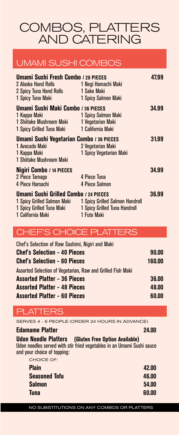COMBOS, PLATTERS AND CATERING

#### UMAMI SUSHI COMBOS

| Umami Sushi Fresh Combo / 28 PIECES<br>2 Alaska Hand Rolls<br>2 Spicy Tuna Hand Rolls<br>1 Spicy Tuna Maki             | 1 Negi Hamachi Maki<br>1 Sake Maki<br>1 Spicy Salmon Maki                       | 47.99 |
|------------------------------------------------------------------------------------------------------------------------|---------------------------------------------------------------------------------|-------|
| Umami Sushi Maki Combo / 36 PIECES<br>1 Kappa Maki<br>1 Shiitake Mushroom Maki<br>1 Spicy Grilled Tuna Maki            | 1 Spicy Salmon Maki<br>1 Vegetarian Maki<br>1 California Maki                   | 34.99 |
| Umami Sushi Vegetarian Combo / 36 PIECES<br>1 Avocado Maki<br>1 Kappa Maki<br>1 Shiitake Mushroom Maki                 | 2 Vegetarian Maki<br>1 Spicy Vegetarian Maki                                    | 31.99 |
| Nigiri Combo / 14 PIECES<br>2 Piece Tamago<br>4 Piece Hamachi                                                          | 4 Piece Tuna<br>4 Piece Salmon                                                  | 34.99 |
| Umami Sushi Grilled Combo / 24 PIECES<br>1 Spicy Grilled Salmon Maki<br>1 Spicy Grilled Tuna Maki<br>1 California Maki | 1 Spicy Grilled Salmon Handroll<br>1 Spicy Grilled Tuna Handroll<br>1 Futo Maki | 36.99 |

#### CHEF'S CHOICE PLATTERS

| Chef's Selection of Raw Sashimi, Nigiri and Maki            |        |
|-------------------------------------------------------------|--------|
| <b>Chef's Selection - 40 Pieces</b>                         | 90.00  |
| <b>Chef's Selection - 80 Pieces</b>                         | 160.00 |
| Assorted Selection of Vegetarian, Raw and Grilled Fish Maki |        |
| <b>Assorted Platter - 36 Pieces</b>                         | 36.00  |
| <b>Assorted Platter - 48 Pieces</b>                         | 48.00  |
| <b>Assorted Platter - 60 Pieces</b>                         | 60.00  |

#### PLATTERS

SERVES 4 - 6 PEOPLE (ORDER 24 HOURS IN ADVANCE)

#### **Edamame Platter 24.00**

**Udon Noodle Platters (Gluten Free Option Available)**

Udon noodles served with stir fried vegetables in an Umami Sushi sauce and your choice of topping:

| <b>CHOICE OF:</b>    |       |
|----------------------|-------|
| <b>Plain</b>         | 42.00 |
| <b>Seasoned Tofu</b> | 46.00 |
| <b>Salmon</b>        | 54.00 |
| <b>Tuna</b>          | 60.00 |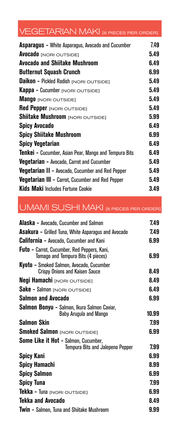## VEGETARIAN MAKI [6 PIECES PER ORDER]

| <b>Asparagus - White Asparagus, Avocado and Cucumber</b> | 7.49 |
|----------------------------------------------------------|------|
| <b>Avocado</b> [NORI OUTSIDE]                            | 5.49 |
| Avocado and Shiitake Mushroom                            | 6.49 |
| <b>Butternut Squash Crunch</b>                           | 6.99 |
| <b>Daikon - Pickled Radish INORI OUTSIDET</b>            | 5.49 |
| <b>Kappa - Cucumber [NORI OUTSIDE]</b>                   | 5.49 |
| <b>Mango</b> [NORI OUTSIDE]                              | 5.49 |
| <b>Red Pepper</b> [NORI OUTSIDE]                         | 5.49 |
| Shiitake Mushroom [NORI OUTSIDE]                         | 5.99 |
| <b>Spicy Avocado</b>                                     | 6.49 |
| <b>Spicy Shiitake Mushroom</b>                           | 6.99 |
| <b>Spicy Vegetarian</b>                                  | 6.49 |
| Tenkei - Cucumber, Asian Pear, Mango and Tempura Bits    | 6.49 |
| <b>Vegetarian - Avocado, Carrot and Cucumber</b>         | 5.49 |
| <b>Vegetarian II - Avocado, Cucumber and Red Pepper</b>  | 5.49 |
| <b>Vegetarian III - Carrot, Cucumber and Red Pepper</b>  | 5.49 |
| <b>Kids Maki</b> Includes Fortune Cookie                 | 3.49 |

### UMAMI SUSHI MAKI [6 PIECES PER ORDER]

| <b>Alaska - Avocado, Cucumber and Salmon</b>                                             | 7.49  |  |
|------------------------------------------------------------------------------------------|-------|--|
| <b>Asakura - Grilled Tuna, White Asparagus and Avocado</b>                               |       |  |
| <b>California -</b> Avocado, Cucumber and Kani                                           | 6.99  |  |
| <b>Futo</b> - Carrot, Cucumber, Red Peppers, Kani,<br>Tomago and Tempura Bits (4 pieces) | 6.99  |  |
| Kyoto - Smoked Salmon, Avocado, Cucumber<br><b>Crispy Onions and Kaisen Sauce</b>        | 8.49  |  |
| <b>Negi Hamachi</b> [NORI OUTSIDE]                                                       | 8.49  |  |
| <b>Sake - Salmon [NORI OUTSIDE]</b>                                                      | 6.49  |  |
| Salmon and Avocado                                                                       | 6.99  |  |
| Salmon Bonyu - Salmon, Ikura Salmon Caviar,<br><b>Baby Arugula and Mango</b>             | 10.99 |  |
| Salmon Skin                                                                              | 7.99  |  |
| <b>Smoked Salmon [NORI OUTSIDE]</b>                                                      | 6.99  |  |
| Some Like it Hot - Salmon, Cucumber,<br>Tempura Bits and Jalepeno Pepper                 | 7.99  |  |
| <b>Spicy Kani</b>                                                                        | 6.99  |  |
| Spicy Hamachi                                                                            | 8.99  |  |
| <b>Spicy Salmon</b>                                                                      | 6.99  |  |
| <b>Spicy Tuna</b>                                                                        | 7.99  |  |
| <b>Tekka - Tuna</b> [NORI OUTSIDE]                                                       | 6.99  |  |
| Tekka and Avocado                                                                        | 8.49  |  |
| <b>Twin - Salmon, Tuna and Shiitake Mushroom</b>                                         | 9.99  |  |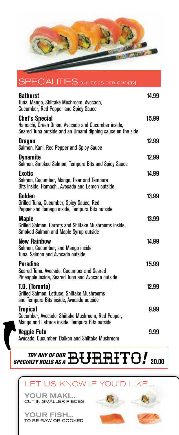

SPECIAL ITIES

| <b>Bathurst</b><br>Tuna. Mango. Shiitake Mushroom. Avocado.<br><b>Cucumber, Red Pepper and Spicy Sauce</b>                                | 14.99 |
|-------------------------------------------------------------------------------------------------------------------------------------------|-------|
| <b>Chef's Special</b><br>Hamachi, Green Onion, Avocado and Cucumber inside,<br>Seared Tuna outside and an Umami dipping sauce on the side | 15.99 |
| <b>Dragon</b><br>Salmon, Kani, Red Pepper and Spicy Sauce                                                                                 | 12.99 |
| Dvnamite<br>Salmon, Smoked Salmon, Tempura Bits and Spicy Sauce                                                                           | 12.99 |
| Exotic<br>Salmon, Cucumber, Mango, Pear and Tempura<br>Bits inside. Hamachi, Avocado and Lemon outside                                    | 14.99 |
| Golden<br>Grilled Tuna, Cucumber, Spicy Sauce, Red<br>Pepper and Tomago inside, Tempura Bits outside                                      | 13.99 |
| Maple<br>Grilled Salmon, Carrots and Shiitake Mushrooms inside,<br><b>Smoked Salmon and Maple Syrup outside</b>                           | 13.99 |
| <b>New Rainbow</b><br>Salmon, Cucumber, and Mango inside<br>Tuna, Salmon and Avocado outside                                              | 14.99 |
| <b>Paradise</b><br>Seared Tuna, Avocado, Cucumber and Seared<br>Pineapple inside, Seared Tuna and Avocado outside                         | 15.99 |
| T.O. (Toronto)<br>Grilled Salmon, Lettuce, Shiitake Mushrooms<br>and Tempura Bits inside, Avocado outside                                 | 12.99 |
| <b>Tropical</b><br>Cucumber, Avocado, Shiitake Mushroom, Red Pepper,<br>Mango and Lettuce inside. Tempura Bits outside                    | 9.99  |
| <b>Veggie Futo</b><br>Avocado, Cucumber, Daikon and Shiitake Mushroom                                                                     | 9.99  |

*TRY ANY OF OUR SPECIALTY ROLLS AS A*Burrito*!* **20.00**

#### LET US KNOW IF YOU'D LIKE...

YOUR MAKI... CUT IN SMALLER PIECES

YOUR FISH... TO BE RAW OR COOKED



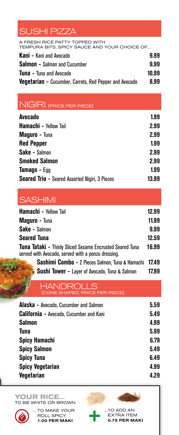#### SUSHI PIZZA

A FRESH RICE PATTY TOPPED WITH<br>TEMPURA BITS, SPICY SAUCE AND YOUR CHOICE OF... **Kani -** Kani and Avocado **9.99 Salmon -** Salmon and Cucumber **9.99 Tuna -** Tuna and Avocado **10.99**

**Vegetarian -** Cucumber, Carrots, Red Pepper and Avocado **8.99**

|  |  |  |  | NIGIRI <sub>[PRICE PER PIECE]</sub> |
|--|--|--|--|-------------------------------------|
|--|--|--|--|-------------------------------------|

| Avocado                                               | 1.99  |
|-------------------------------------------------------|-------|
| <b>Hamachi - Yellow Tail</b>                          | 2.99  |
| <b>Maguro - Tuna</b>                                  | 2.99  |
| <b>Red Pepper</b>                                     | 1.99  |
| Sake - Salmon                                         | 2.99  |
| <b>Smoked Salmon</b>                                  | 2.99  |
| <b>Tamago - Egg</b>                                   | 1.99  |
| <b>Seared Trio - Seared Assorted Nigiri, 3 Pieces</b> | 13.99 |

#### **SASHIMI**

| <b>Hamachi - Yellow Tail</b>                                                                                          | 12.99 |
|-----------------------------------------------------------------------------------------------------------------------|-------|
| <b>Maguro - Tuna</b>                                                                                                  | 11.99 |
| <b>Sake - Salmon</b>                                                                                                  | 9.99  |
| <b>Seared Tuna</b>                                                                                                    | 12.59 |
| <b>Tuna Tataki - Thinly Sliced Sesame Encrusted Seared Tuna</b><br>served with Avocado, served with a ponzu dressing. | 16.99 |
| Sashimi Combo - 2 Pieces Salmon, Tuna & Hamachi 17.49                                                                 |       |

 **Sushi Tower -** Layer of Avocado, Tuna & Salmon **17.99**

#### HANDROLLS[CONE SHAPED, PRICE PER PIECE]

| <b>Alaska - Avocado, Cucumber and Salmon</b>   | 5.59 |
|------------------------------------------------|------|
| <b>California - Avocado, Cucumber and Kani</b> | 5.49 |
| Salmon                                         | 4.99 |
| Tuna                                           | 5.99 |
| <b>Spicy Hamachi</b>                           | 6.79 |
| <b>Spicy Salmon</b>                            | 5.49 |
| <b>Spicy Tuna</b>                              | 6.49 |
| <b>Spicy Vegetarian</b>                        | 4.99 |
| <b>Vegetarian</b>                              | 4.29 |
|                                                |      |

YOUR RICE... TO BE WHITE OR BROWN



... TO MAKE YOUR ROLL SPICY 1.00 PER MAKI

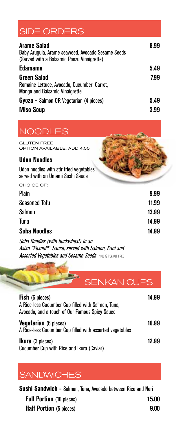#### SIDE ORDERS

| <b>Arame Salad</b><br>Baby Arugula, Arame seaweed, Avocado Sesame Seeds<br>(Served with a Balsamic Ponzu Vinaigrette) | 8.99 |
|-----------------------------------------------------------------------------------------------------------------------|------|
| <b>Edamame</b>                                                                                                        | 5.49 |
| <b>Green Salad</b><br>Romaine Lettuce, Avocado, Cucumber, Carrot,<br><b>Mango and Balsamic Vinaigrette</b>            | 7.99 |
| <b>Gyoza</b> - Salmon OR Vegetarian (4 pieces)                                                                        | 5.49 |
| <b>Miso Soup</b>                                                                                                      | 3.99 |

#### **NOODLES**

GLUTEN FREE OPTION AVAILABLE. ADD 4.00

#### **Udon Noodles**

Udon noodles with stir fried vegetables served with an Umami Sushi Sauce

| CHOICE OF:                          |       |
|-------------------------------------|-------|
| Plain                               | 9.99  |
| <b>Seasoned Tofu</b>                | 11.99 |
| Salmon                              | 13.99 |
| Tuna                                | 14.99 |
| <b>Soba Noodles</b>                 | 14.99 |
| Soba Noodles (with buckwheat) in an |       |

Asian "Peanut\*" Sauce, served with Salmon, Kani and **Assorted Vegetables and Sesame Seeds \*100% PEANUT FREE** 

SENKAN CUPS

| <b>Fish</b> (6 pieces)<br>A Rice-less Cucumber Cup filled with Salmon, Tuna,<br>Avocado, and a touch of Our Famous Spicy Sauce | 14.99 |
|--------------------------------------------------------------------------------------------------------------------------------|-------|
| <b>Vegetarian</b> (6 pieces)<br>A Rice-less Cucumber Cup filled with assorted vegetables                                       | 10.99 |
| <b>Ikura</b> (3 pieces)<br>Cucumber Cup with Rice and Ikura (Caviar)                                                           | 12.99 |

#### **SANDWICHES**

**Sushi Sandwich -** Salmon, Tuna, Avocado between Rice and Nori **Full Portion** (10 pieces) **15.00 Half Portion** (5 pieces) **9.00**